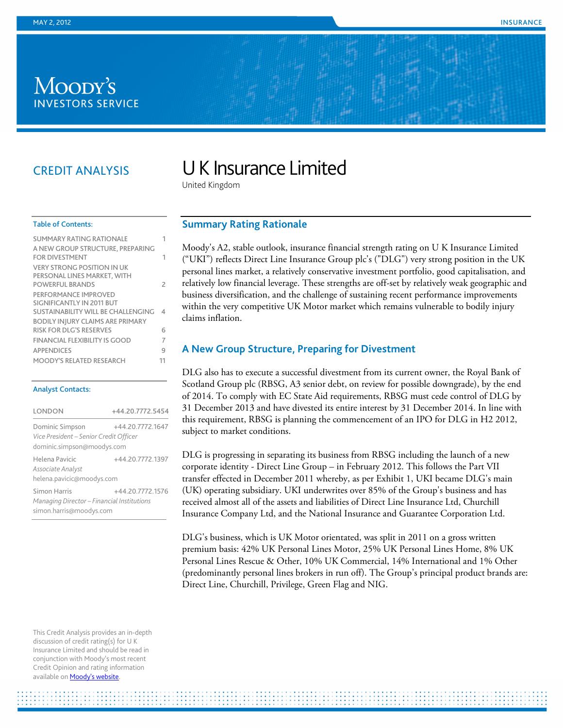## Moody's **INVESTORS SERVICE**

## CREDIT ANALYSIS

# U K Insurance Limited

United Kingdom

#### Table of Contents:

| <b>SUMMARY RATING RATIONALE</b>                                 |    |
|-----------------------------------------------------------------|----|
| A NEW GROUP STRUCTURE, PREPARING<br><b>FOR DIVESTMENT</b>       | 1  |
| <b>VERY STRONG POSITION IN UK</b>                               |    |
| PERSONAL LINES MARKET, WITH<br><b>POWEREUI BRANDS</b>           | 2  |
| PERFORMANCE IMPROVED                                            |    |
| SIGNIFICANTLY IN 2011 BUT<br>SUSTAINABILITY WILL BE CHALLENGING | 4  |
| <b>BODILY INJURY CLAIMS ARE PRIMARY</b>                         |    |
| RISK FOR DIG'S RESERVES                                         | 6  |
| <b>FINANCIAL FLEXIBILITY IS GOOD</b>                            | 7  |
| <b>APPENDICES</b>                                               | 9  |
| <b>MOODY'S RELATED RESEARCH</b>                                 | 11 |
|                                                                 |    |

#### Analyst Contacts:

| LONDON                                                                                                      | +44.20.7772.5454 |  |  |  |  |  |  |
|-------------------------------------------------------------------------------------------------------------|------------------|--|--|--|--|--|--|
| Dominic Simpson<br>+44.20.7772.1647<br>Vice President - Senior Credit Officer<br>dominic.simpson@moodys.com |                  |  |  |  |  |  |  |
| Helena Pavicic<br>Associate Analyst<br>helena.pavicic@moodys.com                                            | +44.20.7772.1397 |  |  |  |  |  |  |
| Simon Harris<br>Managing Director – Financial Institutions<br>simon.harris@moodys.com                       | +44.20.7772.1576 |  |  |  |  |  |  |

#### <span id="page-0-0"></span>**Summary Rating Rationale**

Moody's A2, stable outlook, insurance financial strength rating on U K Insurance Limited ("UKI") reflects Direct Line Insurance Group plc's ("DLG") very strong position in the UK personal lines market, a relatively conservative investment portfolio, good capitalisation, and relatively low financial leverage. These strengths are off-set by relatively weak geographic and business diversification, and the challenge of sustaining recent performance improvements within the very competitive UK Motor market which remains vulnerable to bodily injury claims inflation.

#### <span id="page-0-1"></span>**A New Group Structure, Preparing for Divestment**

DLG also has to execute a successful divestment from its current owner, the Royal Bank of Scotland Group plc (RBSG, A3 senior debt, on review for possible downgrade), by the end of 2014. To comply with EC State Aid requirements, RBSG must cede control of DLG by 31 December 2013 and have divested its entire interest by 31 December 2014. In line with this requirement, RBSG is planning the commencement of an IPO for DLG in H2 2012, subject to market conditions.

DLG is progressing in separating its business from RBSG including the launch of a new corporate identity - Direct Line Group – in February 2012. This follows the Part VII transfer effected in December 2011 whereby, as per Exhibit 1, UKI became DLG's main (UK) operating subsidiary. UKI underwrites over 85% of the Group's business and has received almost all of the assets and liabilities of Direct Line Insurance Ltd, Churchill Insurance Company Ltd, and the National Insurance and Guarantee Corporation Ltd.

DLG's business, which is UK Motor orientated, was split in 2011 on a gross written premium basis: 42% UK Personal Lines Motor, 25% UK Personal Lines Home, 8% UK Personal Lines Rescue & Other, 10% UK Commercial, 14% International and 1% Other (predominantly personal lines brokers in run off). The Group's principal product brands are: Direct Line, Churchill, Privilege, Green Flag and NIG.

This Credit Analysis provides an in-depth discussion of credit rating(s) for U K Insurance Limited and should be read in conjunction with Moody's most recent Credit Opinion and rating information available on **Moody's website**.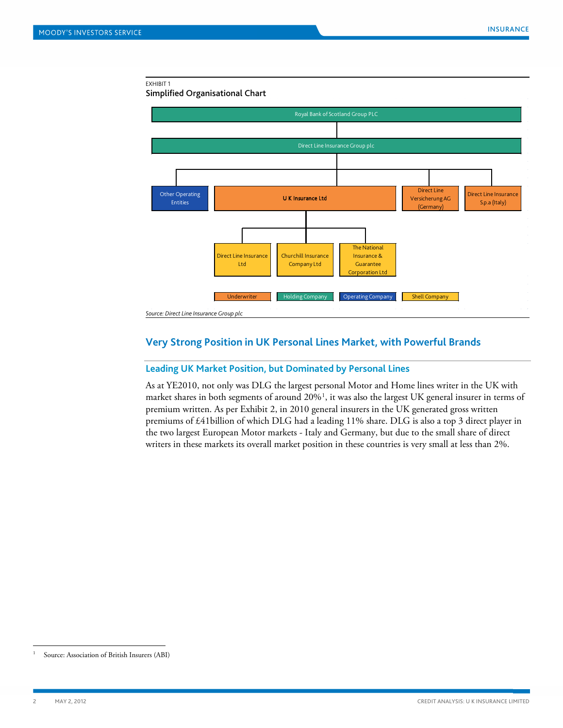#### EXHIBIT 1



## <span id="page-1-0"></span>**Very Strong Position in UK Personal Lines Market, with Powerful Brands**

#### **Leading UK Market Position, but Dominated by Personal Lines**

As at YE2010, not only was DLG the largest personal Motor and Home lines writer in the UK with market shares in both segments of around 20%[1](#page-1-1) , it was also the largest UK general insurer in terms of premium written. As per Exhibit 2, in 2010 general insurers in the UK generated gross written premiums of £41billion of which DLG had a leading 11% share. DLG is also a top 3 direct player in the two largest European Motor markets - Italy and Germany, but due to the small share of direct writers in these markets its overall market position in these countries is very small at less than 2%.

<span id="page-1-1"></span><sup>&</sup>lt;sup>1</sup> Source: Association of British Insurers (ABI)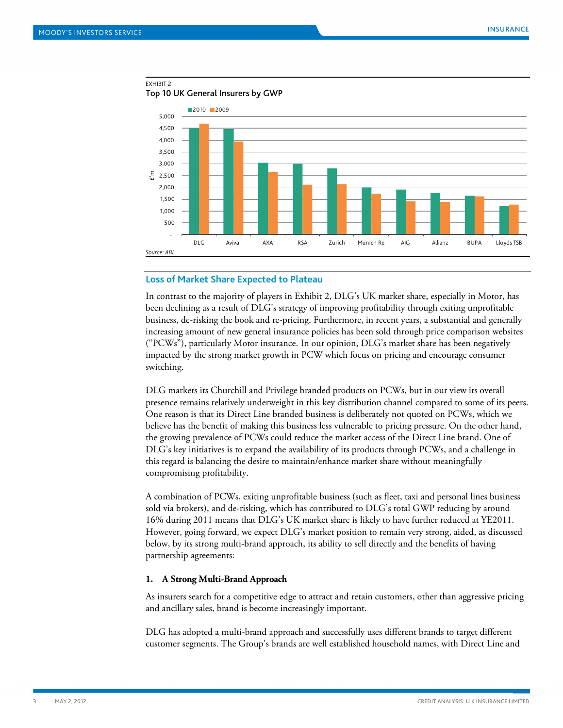

EXHIBIT 2

Top 10 UK General Insurers by GWP

#### **Loss of Market Share Expected to Plateau**

In contrast to the majority of players in Exhibit 2, DLG's UK market share, especially in Motor, has been declining as a result of DLG's strategy of improving profitability through exiting unprofitable business, de-risking the book and re-pricing. Furthermore, in recent years, a substantial and generally increasing amount of new general insurance policies has been sold through price comparison websites ("PCWs"), particularly Motor insurance. In our opinion, DLG's market share has been negatively impacted by the strong market growth in PCW which focus on pricing and encourage consumer switching.

DLG markets its Churchill and Privilege branded products on PCWs, but in our view its overall presence remains relatively underweight in this key distribution channel compared to some of its peers. One reason is that its Direct Line branded business is deliberately not quoted on PCWs, which we believe has the benefit of making this business less vulnerable to pricing pressure. On the other hand, the growing prevalence of PCWs could reduce the market access of the Direct Line brand. One of DLG's key initiatives is to expand the availability of its products through PCWs, and a challenge in this regard is balancing the desire to maintain/enhance market share without meaningfully compromising profitability.

A combination of PCWs, exiting unprofitable business (such as fleet, taxi and personal lines business sold via brokers), and de-risking, which has contributed to DLG's total GWP reducing by around 16% during 2011 means that DLG's UK market share is likely to have further reduced at YE2011. However, going forward, we expect DLG's market position to remain very strong, aided, as discussed below, by its strong multi-brand approach, its ability to sell directly and the benefits of having partnership agreements:

#### **1. A Strong Multi-Brand Approach**

As insurers search for a competitive edge to attract and retain customers, other than aggressive pricing and ancillary sales, brand is become increasingly important.

DLG has adopted a multi-brand approach and successfully uses different brands to target different customer segments. The Group's brands are well established household names, with Direct Line and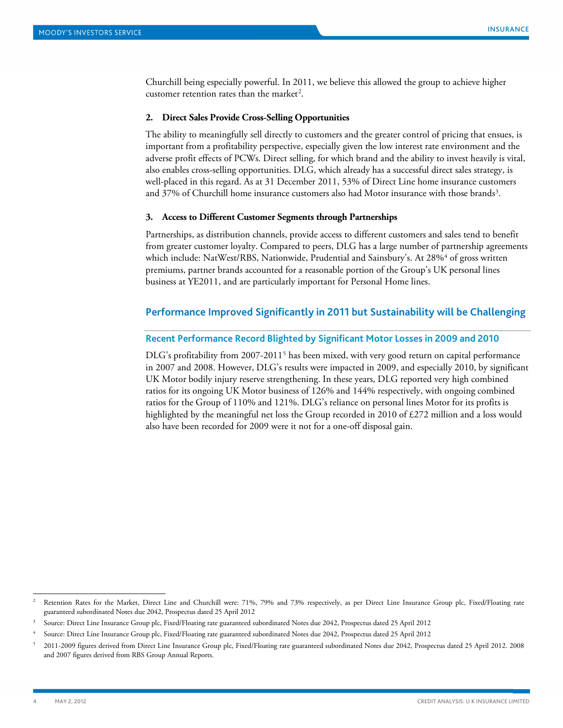Churchill being especially powerful. In 2011, we believe this allowed the group to achieve higher customer retention rates than the market<sup>2</sup>.

#### **2. Direct Sales Provide Cross-Selling Opportunities**

The ability to meaningfully sell directly to customers and the greater control of pricing that ensues, is important from a profitability perspective, especially given the low interest rate environment and the adverse profit effects of PCWs. Direct selling, for which brand and the ability to invest heavily is vital, also enables cross-selling opportunities. DLG, which already has a successful direct sales strategy, is well-placed in this regard. As at 31 December 2011, 53% of Direct Line home insurance customers and [3](#page-3-2)7% of Churchill home insurance customers also had Motor insurance with those brands<sup>3</sup>.

#### **3. Access to Different Customer Segments through Partnerships**

Partnerships, as distribution channels, provide access to different customers and sales tend to benefit from greater customer loyalty. Compared to peers, DLG has a large number of partnership agreements which include: NatWest/RBS, Nationwide, Prudential and Sainsbury's. At 28%<sup>4</sup> of gross written premiums, partner brands accounted for a reasonable portion of the Group's UK personal lines business at YE2011, and are particularly important for Personal Home lines.

#### <span id="page-3-0"></span>**Performance Improved Significantly in 2011 but Sustainability will be Challenging**

#### **Recent Performance Record Blighted by Significant Motor Losses in 2009 and 2010**

DLG's profitability from 2007-2011[5](#page-3-4) has been mixed, with very good return on capital performance in 2007 and 2008. However, DLG's results were impacted in 2009, and especially 2010, by significant UK Motor bodily injury reserve strengthening. In these years, DLG reported very high combined ratios for its ongoing UK Motor business of 126% and 144% respectively, with ongoing combined ratios for the Group of 110% and 121%. DLG's reliance on personal lines Motor for its profits is highlighted by the meaningful net loss the Group recorded in 2010 of £272 million and a loss would also have been recorded for 2009 were it not for a one-off disposal gain.

<span id="page-3-1"></span>Retention Rates for the Market, Direct Line and Churchill were: 71%, 79% and 73% respectively, as per Direct Line Insurance Group plc, Fixed/Floating rate guaranteed subordinated Notes due 2042, Prospectus dated 25 April 2012

<span id="page-3-2"></span><sup>3</sup> Source: Direct Line Insurance Group plc, Fixed/Floating rate guaranteed subordinated Notes due 2042, Prospectus dated 25 April 2012

<span id="page-3-3"></span><sup>4</sup> Source: Direct Line Insurance Group plc, Fixed/Floating rate guaranteed subordinated Notes due 2042, Prospectus dated 25 April 2012

<span id="page-3-4"></span><sup>5</sup> 2011-2009 figures derived from Direct Line Insurance Group plc, Fixed/Floating rate guaranteed subordinated Notes due 2042, Prospectus dated 25 April 2012. 2008 and 2007 figures derived from RBS Group Annual Reports.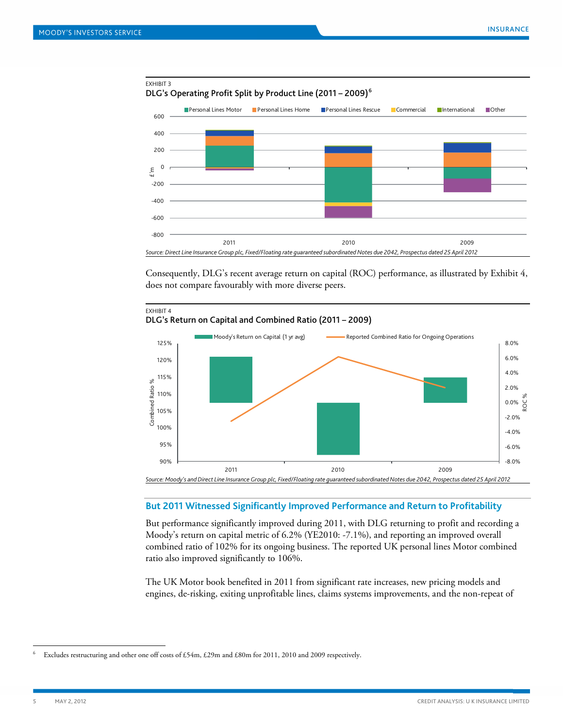

Consequently, DLG's recent average return on capital (ROC) performance, as illustrated by Exhibit 4, does not compare favourably with more diverse peers.



#### **But 2011 Witnessed Significantly Improved Performance and Return to Profitability**

But performance significantly improved during 2011, with DLG returning to profit and recording a Moody's return on capital metric of 6.2% (YE2010: -7.1%), and reporting an improved overall combined ratio of 102% for its ongoing business. The reported UK personal lines Motor combined ratio also improved significantly to 106%.

The UK Motor book benefited in 2011 from significant rate increases, new pricing models and engines, de-risking, exiting unprofitable lines, claims systems improvements, and the non-repeat of

<span id="page-4-0"></span>Excludes restructuring and other one off costs of £54m, £29m and £80m for 2011, 2010 and 2009 respectively.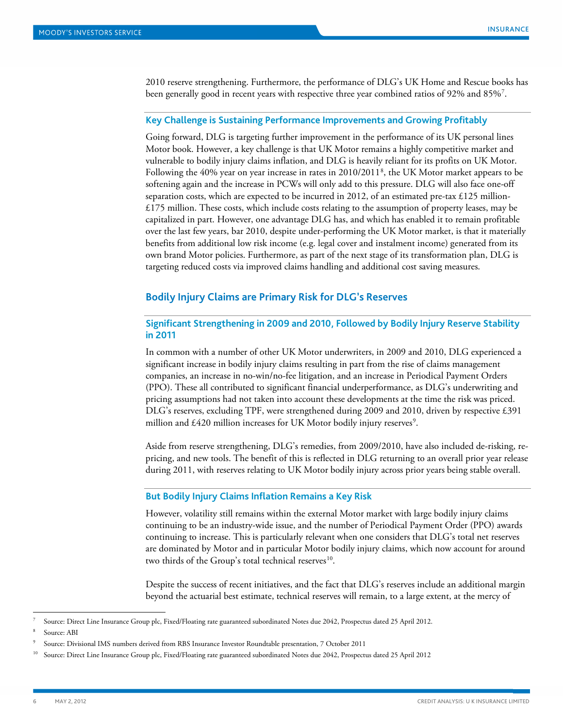2010 reserve strengthening. Furthermore, the performance of DLG's UK Home and Rescue books has been generally good in recent years with respective three year combined ratios of 92% and 85%<sup>[7](#page-5-1)</sup>.

#### **Key Challenge is Sustaining Performance Improvements and Growing Profitably**

Going forward, DLG is targeting further improvement in the performance of its UK personal lines Motor book. However, a key challenge is that UK Motor remains a highly competitive market and vulnerable to bodily injury claims inflation, and DLG is heavily reliant for its profits on UK Motor. Following the 40% year on year increase in rates in 2010/2011<sup>[8](#page-5-2)</sup>, the UK Motor market appears to be softening again and the increase in PCWs will only add to this pressure. DLG will also face one-off separation costs, which are expected to be incurred in 2012, of an estimated pre-tax £125 million- $£175$  million. These costs, which include costs relating to the assumption of property leases, may be capitalized in part. However, one advantage DLG has, and which has enabled it to remain profitable over the last few years, bar 2010, despite under-performing the UK Motor market, is that it materially benefits from additional low risk income (e.g. legal cover and instalment income) generated from its own brand Motor policies. Furthermore, as part of the next stage of its transformation plan, DLG is targeting reduced costs via improved claims handling and additional cost saving measures.

#### <span id="page-5-0"></span>**Bodily Injury Claims are Primary Risk for DLG's Reserves**

## **Significant Strengthening in 2009 and 2010, Followed by Bodily Injury Reserve Stability in 2011**

In common with a number of other UK Motor underwriters, in 2009 and 2010, DLG experienced a significant increase in bodily injury claims resulting in part from the rise of claims management companies, an increase in no-win/no-fee litigation, and an increase in Periodical Payment Orders (PPO). These all contributed to significant financial underperformance, as DLG's underwriting and pricing assumptions had not taken into account these developments at the time the risk was priced. DLG's reserves, excluding TPF, were strengthened during 2009 and 2010, driven by respective £391 million and  $\text{\pounds}420$  million increases for UK Motor bodily injury reserves<sup>[9](#page-5-3)</sup>.

Aside from reserve strengthening, DLG's remedies, from 2009/2010, have also included de-risking, repricing, and new tools. The benefit of this is reflected in DLG returning to an overall prior year release during 2011, with reserves relating to UK Motor bodily injury across prior years being stable overall.

#### **But Bodily Injury Claims Inflation Remains a Key Risk**

However, volatility still remains within the external Motor market with large bodily injury claims continuing to be an industry-wide issue, and the number of Periodical Payment Order (PPO) awards continuing to increase. This is particularly relevant when one considers that DLG's total net reserves are dominated by Motor and in particular Motor bodily injury claims, which now account for around two thirds of the Group's total technical reserves<sup>10</sup>.

Despite the success of recent initiatives, and the fact that DLG's reserves include an additional margin beyond the actuarial best estimate, technical reserves will remain, to a large extent, at the mercy of

<span id="page-5-1"></span> <sup>7</sup> Source: Direct Line Insurance Group plc, Fixed/Floating rate guaranteed subordinated Notes due 2042, Prospectus dated 25 April 2012.

<span id="page-5-2"></span>Source: ABI

<span id="page-5-3"></span><sup>9</sup> Source: Divisional IMS numbers derived from RBS Insurance Investor Roundtable presentation, 7 October 2011

<span id="page-5-4"></span><sup>10</sup> Source: Direct Line Insurance Group plc, Fixed/Floating rate guaranteed subordinated Notes due 2042, Prospectus dated 25 April 2012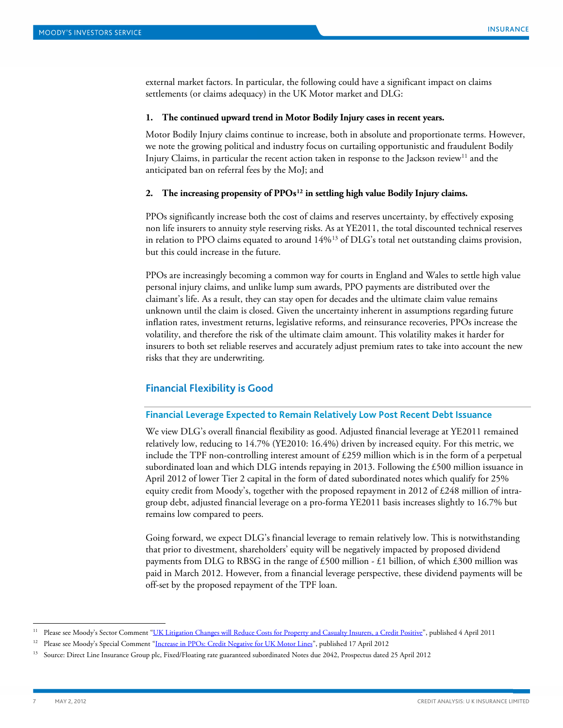external market factors. In particular, the following could have a significant impact on claims settlements (or claims adequacy) in the UK Motor market and DLG:

#### **1. The continued upward trend in Motor Bodily Injury cases in recent years.**

Motor Bodily Injury claims continue to increase, both in absolute and proportionate terms. However, we note the growing political and industry focus on curtailing opportunistic and fraudulent Bodily Injury Claims, in particular the recent action taken in response to the Jackson review<sup>[11](#page-6-1)</sup> and the anticipated ban on referral fees by the MoJ; and

#### **2. The increasing propensity of PPOs [12](#page-6-2) in settling high value Bodily Injury claims.**

PPOs significantly increase both the cost of claims and reserves uncertainty, by effectively exposing non life insurers to annuity style reserving risks. As at YE2011, the total discounted technical reserves in relation to PPO claims equated to around 14% [13](#page-6-3) of DLG's total net outstanding claims provision, but this could increase in the future.

PPOs are increasingly becoming a common way for courts in England and Wales to settle high value personal injury claims, and unlike lump sum awards, PPO payments are distributed over the claimant's life. As a result, they can stay open for decades and the ultimate claim value remains unknown until the claim is closed. Given the uncertainty inherent in assumptions regarding future inflation rates, investment returns, legislative reforms, and reinsurance recoveries, PPOs increase the volatility, and therefore the risk of the ultimate claim amount. This volatility makes it harder for insurers to both set reliable reserves and accurately adjust premium rates to take into account the new risks that they are underwriting.

#### <span id="page-6-0"></span>**Financial Flexibility is Good**

## **Financial Leverage Expected to Remain Relatively Low Post Recent Debt Issuance**

We view DLG's overall financial flexibility as good. Adjusted financial leverage at YE2011 remained relatively low, reducing to 14.7% (YE2010: 16.4%) driven by increased equity. For this metric, we include the TPF non-controlling interest amount of £259 million which is in the form of a perpetual subordinated loan and which DLG intends repaying in 2013. Following the £500 million issuance in April 2012 of lower Tier 2 capital in the form of dated subordinated notes which qualify for 25% equity credit from Moody's, together with the proposed repayment in 2012 of £248 million of intragroup debt, adjusted financial leverage on a pro-forma YE2011 basis increases slightly to 16.7% but remains low compared to peers.

Going forward, we expect DLG's financial leverage to remain relatively low. This is notwithstanding that prior to divestment, shareholders' equity will be negatively impacted by proposed dividend payments from DLG to RBSG in the range of £500 million - £1 billion, of which £300 million was paid in March 2012. However, from a financial leverage perspective, these dividend payments will be off-set by the proposed repayment of the TPF loan.

<span id="page-6-1"></span><sup>&</sup>lt;sup>11</sup> Please see Moody's Sector Comment "<u>UK Litigation Changes will Reduce Costs for Property and Casualty Insurers, a Credit Positive", published 4 April 2011</u>

<span id="page-6-2"></span><sup>&</sup>lt;sup>12</sup> Please see Moody's Special Comment ["Increase in PPOs: Credit Negative for UK Motor Lines"](http://www.moodys.com/viewresearchdoc.aspx?docid=PBC_140902), published 17 April 2012

<span id="page-6-3"></span><sup>&</sup>lt;sup>13</sup> Source: Direct Line Insurance Group plc, Fixed/Floating rate guaranteed subordinated Notes due 2042, Prospectus dated 25 April 2012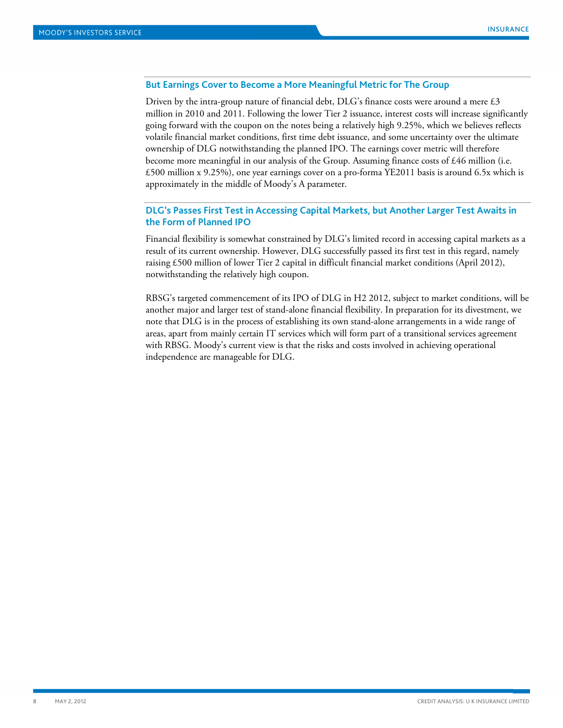#### **But Earnings Cover to Become a More Meaningful Metric for The Group**

Driven by the intra-group nature of financial debt,  $DLG$ 's finance costs were around a mere  $£3$ million in 2010 and 2011. Following the lower Tier 2 issuance, interest costs will increase significantly going forward with the coupon on the notes being a relatively high 9.25%, which we believes reflects volatile financial market conditions, first time debt issuance, and some uncertainty over the ultimate ownership of DLG notwithstanding the planned IPO. The earnings cover metric will therefore become more meaningful in our analysis of the Group. Assuming finance costs of £46 million (i.e. £500 million x 9.25%), one year earnings cover on a pro-forma YE2011 basis is around 6.5x which is approximately in the middle of Moody's A parameter.

## **DLG's Passes First Test in Accessing Capital Markets, but Another Larger Test Awaits in the Form of Planned IPO**

Financial flexibility is somewhat constrained by DLG's limited record in accessing capital markets as a result of its current ownership. However, DLG successfully passed its first test in this regard, namely raising £500 million of lower Tier 2 capital in difficult financial market conditions (April 2012), notwithstanding the relatively high coupon.

RBSG's targeted commencement of its IPO of DLG in H2 2012, subject to market conditions, will be another major and larger test of stand-alone financial flexibility. In preparation for its divestment, we note that DLG is in the process of establishing its own stand-alone arrangements in a wide range of areas, apart from mainly certain IT services which will form part of a transitional services agreement with RBSG. Moody's current view is that the risks and costs involved in achieving operational independence are manageable for DLG.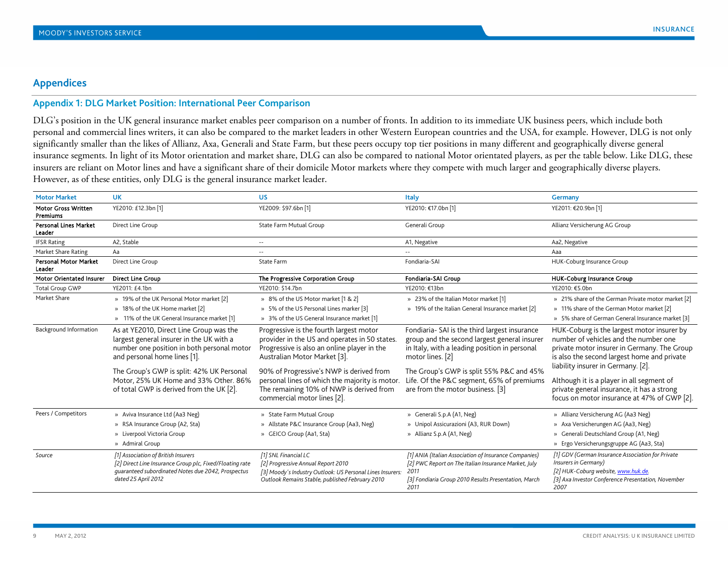## **Appendix 1: DLG Market Position: International Peer Comparison**

DLG's position in the UK general insurance market enables peer comparison on a number of fronts. In addition to its immediate UK business peers, which include both personal and commercial lines writers, it can also be compared to the market leaders in other Western European countries and the USA, for example. However, DLG is not only significantly smaller than the likes of Allianz, Axa, Generali and State Farm, but these peers occupy top tier positions in many different and geographically diverse general insurance segments. In light of its Motor orientation and market share, DLG can also be compared to national Motor orientated players, as per the table below. Like DLG, these insurers are reliant on Motor lines and have a significant share of their domicile Motor markets where they compete with much larger and geographically diverse players. However, as of these entities, only DLG is the general insurance market leader.

<span id="page-8-0"></span>

| <b>Motor Market</b>                    | <b>UK</b>                                                                                                                                                                                                                                                                                           | <b>US</b>                                                                                                                                                                                                                                                                                                                                        | <b>Italy</b>                                                                                                                                                                                                                                                                                    | Germany                                                                                                                                                                                                                                                                                                                                                           |
|----------------------------------------|-----------------------------------------------------------------------------------------------------------------------------------------------------------------------------------------------------------------------------------------------------------------------------------------------------|--------------------------------------------------------------------------------------------------------------------------------------------------------------------------------------------------------------------------------------------------------------------------------------------------------------------------------------------------|-------------------------------------------------------------------------------------------------------------------------------------------------------------------------------------------------------------------------------------------------------------------------------------------------|-------------------------------------------------------------------------------------------------------------------------------------------------------------------------------------------------------------------------------------------------------------------------------------------------------------------------------------------------------------------|
| <b>Motor Gross Written</b><br>Premiums | YE2010: £12.3bn [1]                                                                                                                                                                                                                                                                                 | YE2009: \$97.6bn [1]                                                                                                                                                                                                                                                                                                                             | YE2010: €17.0bn [1]                                                                                                                                                                                                                                                                             | YE2011: €20.9bn [1]                                                                                                                                                                                                                                                                                                                                               |
| <b>Personal Lines Market</b><br>Leader | Direct Line Group                                                                                                                                                                                                                                                                                   | State Farm Mutual Group                                                                                                                                                                                                                                                                                                                          | Generali Group                                                                                                                                                                                                                                                                                  | Allianz Versicherung AG Group                                                                                                                                                                                                                                                                                                                                     |
| <b>IFSR Rating</b>                     | A2. Stable                                                                                                                                                                                                                                                                                          | $-$                                                                                                                                                                                                                                                                                                                                              | A1, Negative                                                                                                                                                                                                                                                                                    | Aa2, Negative                                                                                                                                                                                                                                                                                                                                                     |
| Market Share Rating                    | Aa                                                                                                                                                                                                                                                                                                  | $- -$                                                                                                                                                                                                                                                                                                                                            |                                                                                                                                                                                                                                                                                                 | Aaa                                                                                                                                                                                                                                                                                                                                                               |
| <b>Personal Motor Market</b><br>Leader | Direct Line Group                                                                                                                                                                                                                                                                                   | State Farm                                                                                                                                                                                                                                                                                                                                       | Fondiaria-SAI                                                                                                                                                                                                                                                                                   | HUK-Coburg Insurance Group                                                                                                                                                                                                                                                                                                                                        |
| <b>Motor Orientated Insurer</b>        | <b>Direct Line Group</b>                                                                                                                                                                                                                                                                            | The Progressive Corporation Group                                                                                                                                                                                                                                                                                                                | Fondiaria-SAI Group                                                                                                                                                                                                                                                                             | <b>HUK-Coburg Insurance Group</b>                                                                                                                                                                                                                                                                                                                                 |
| Total Group GWP                        | YE2011: £4.1bn                                                                                                                                                                                                                                                                                      | YE2010: \$14.7bn                                                                                                                                                                                                                                                                                                                                 | YE2010: €13bn                                                                                                                                                                                                                                                                                   | YE2010: €5.0bn                                                                                                                                                                                                                                                                                                                                                    |
| Market Share                           | » 19% of the UK Personal Motor market [2]<br>» 18% of the UK Home market [2]<br>» 11% of the UK General Insurance market [1]                                                                                                                                                                        | » 8% of the US Motor market [1 & 2]<br>» 5% of the US Personal Lines marker [3]<br>» 3% of the US General Insurance market [1]                                                                                                                                                                                                                   | » 23% of the Italian Motor market [1]<br>» 19% of the Italian General Insurance market [2]                                                                                                                                                                                                      | » 21% share of the German Private motor market [2]<br>» 11% share of the German Motor market [2]<br>» 5% share of German General Insurance market [3]                                                                                                                                                                                                             |
| <b>Background Information</b>          | As at YE2010, Direct Line Group was the<br>largest general insurer in the UK with a<br>number one position in both personal motor<br>and personal home lines [1].<br>The Group's GWP is split: 42% UK Personal<br>Motor, 25% UK Home and 33% Other. 86%<br>of total GWP is derived from the UK [2]. | Progressive is the fourth largest motor<br>provider in the US and operates in 50 states.<br>Progressive is also an online player in the<br>Australian Motor Market [3].<br>90% of Progressive's NWP is derived from<br>personal lines of which the majority is motor.<br>The remaining 10% of NWP is derived from<br>commercial motor lines [2]. | Fondiaria- SAI is the third largest insurance<br>group and the second largest general insurer<br>in Italy, with a leading position in personal<br>motor lines. [2]<br>The Group's GWP is split 55% P&C and 45%<br>Life. Of the P&C segment, 65% of premiums<br>are from the motor business. [3] | HUK-Coburg is the largest motor insurer by<br>number of vehicles and the number one<br>private motor insurer in Germany. The Group<br>is also the second largest home and private<br>liability insurer in Germany. [2].<br>Although it is a player in all segment of<br>private general insurance, it has a strong<br>focus on motor insurance at 47% of GWP [2]. |
| Peers / Competitors                    | » Aviva Insurance Ltd (Aa3 Neg)<br>» RSA Insurance Group (A2, Sta)<br>» Liverpool Victoria Group<br>» Admiral Group                                                                                                                                                                                 | » State Farm Mutual Group<br>» Allstate P&C Insurance Group (Aa3, Neg)<br>» GEICO Group (Aa1, Sta)                                                                                                                                                                                                                                               | » Generali S.p.A (A1, Neg)<br>» Unipol Assicurazioni (A3, RUR Down)<br>» Allianz S.p.A (A1, Neg)                                                                                                                                                                                                | » Allianz Versicherung AG (Aa3 Neg)<br>» Axa Versicherungen AG (Aa3, Neg)<br>» Generali Deutschland Group (A1, Neg)<br>» Ergo Versicherungsgruppe AG (Aa3, Sta)                                                                                                                                                                                                   |
| Source                                 | [1] Association of British Insurers<br>[2] Direct Line Insurance Group plc, Fixed/Floating rate<br>guaranteed subordinated Notes due 2042, Prospectus<br>dated 25 April 2012                                                                                                                        | [1] SNL Financial LC<br>[2] Progressive Annual Report 2010<br>[3] Moody's Industry Outlook: US Personal Lines Insurers:<br>Outlook Remains Stable, published February 2010                                                                                                                                                                       | [1] ANIA (Italian Association of Insurance Companies)<br>[2] PWC Report on The Italian Insurance Market, July<br>2011<br>[3] Fondiaria Group 2010 Results Presentation, March<br>2011                                                                                                           | [1] GDV (German Insurance Association for Private<br>Insurers in Germany)<br>[2] HUK-Coburg website, www.huk.de.<br>[3] Axa Investor Conference Presentation, November<br>2007                                                                                                                                                                                    |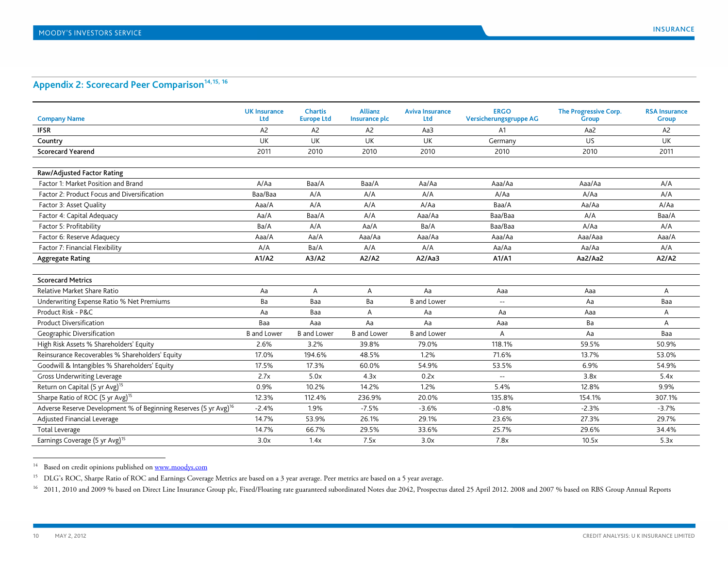## <span id="page-9-2"></span><span id="page-9-1"></span><span id="page-9-0"></span>Appendix 2: Scorecard Peer Comparison<sup>14, [15,](#page-9-1) [16](#page-9-2)</sup>

| <b>Company Name</b>                                                          | <b>UK Insurance</b><br>Ltd | <b>Chartis</b><br><b>Europe Ltd</b> | <b>Allianz</b><br>Insurance plc | <b>Aviva Insurance</b><br>Ltd | <b>ERGO</b><br>Versicherungsgruppe AG | The Progressive Corp.<br><b>Group</b> | <b>RSA Insurance</b><br><b>Group</b> |
|------------------------------------------------------------------------------|----------------------------|-------------------------------------|---------------------------------|-------------------------------|---------------------------------------|---------------------------------------|--------------------------------------|
| <b>IFSR</b>                                                                  | A <sub>2</sub>             | A <sub>2</sub>                      | A <sub>2</sub>                  | Aa3                           | A1                                    | Aa2                                   | A <sub>2</sub>                       |
| Country                                                                      | UK                         | UK                                  | UK                              | UK                            | Germany                               | US                                    | UK                                   |
| <b>Scorecard Yearend</b>                                                     | 2011                       | 2010                                | 2010                            | 2010                          | 2010                                  | 2010                                  | 2011                                 |
|                                                                              |                            |                                     |                                 |                               |                                       |                                       |                                      |
| <b>Raw/Adjusted Factor Rating</b>                                            |                            |                                     |                                 |                               |                                       |                                       |                                      |
| Factor 1: Market Position and Brand                                          | A/Aa                       | Baa/A                               | Baa/A                           | Aa/Aa                         | Aaa/Aa                                | Aaa/Aa                                | A/A                                  |
| Factor 2: Product Focus and Diversification                                  | Baa/Baa                    | A/A                                 | A/A                             | A/A                           | A/Aa                                  | A/Aa                                  | A/A                                  |
| Factor 3: Asset Quality                                                      | Aaa/A                      | A/A                                 | A/A                             | A/Aa                          | Baa/A                                 | Aa/Aa                                 | A/Aa                                 |
| Factor 4: Capital Adequacy                                                   | Aa/A                       | Baa/A                               | A/A                             | Aaa/Aa                        | Baa/Baa                               | A/A                                   | Baa/A                                |
| Factor 5: Profitability                                                      | Ba/A                       | A/A                                 | Aa/A                            | Ba/A                          | Baa/Baa                               | A/Aa                                  | A/A                                  |
| Factor 6: Reserve Adaquecy                                                   | Aaa/A                      | Aa/A                                | Aaa/Aa                          | Aaa/Aa                        | Aaa/Aa                                | Aaa/Aaa                               | Aaa/A                                |
| Factor 7: Financial Flexibility                                              | A/A                        | Ba/A                                | A/A                             | A/A                           | Aa/Aa                                 | Aa/Aa                                 | A/A                                  |
| <b>Aggregate Rating</b>                                                      | A1/A2                      | A3/A2                               | A2/AD                           | A2/Aa3                        | A1/A1                                 | Aa2/Aa2                               | A2/A2                                |
|                                                                              |                            |                                     |                                 |                               |                                       |                                       |                                      |
| <b>Scorecard Metrics</b>                                                     |                            |                                     |                                 |                               |                                       |                                       |                                      |
| Relative Market Share Ratio                                                  | Aa                         | Α                                   | A                               | Aa                            | Aaa                                   | Aaa                                   | A                                    |
| Underwriting Expense Ratio % Net Premiums                                    | Ba                         | Baa                                 | Ba                              | <b>B</b> and Lower            | $\sim$ $\sim$                         | Aa                                    | Baa                                  |
| Product Risk - P&C                                                           | Aa                         | Baa                                 | A                               | Aa                            | Aa                                    | Aaa                                   | A                                    |
| <b>Product Diversification</b>                                               | Baa                        | Aaa                                 | Aa                              | Aa                            | Aaa                                   | Ba                                    | A                                    |
| Geographic Diversification                                                   | <b>B</b> and Lower         | <b>B</b> and Lower                  | <b>B</b> and Lower              | <b>B</b> and Lower            | A                                     | Aa                                    | Baa                                  |
| High Risk Assets % Shareholders' Equity                                      | 2.6%                       | 3.2%                                | 39.8%                           | 79.0%                         | 118.1%                                | 59.5%                                 | 50.9%                                |
| Reinsurance Recoverables % Shareholders' Equity                              | 17.0%                      | 194.6%                              | 48.5%                           | 1.2%                          | 71.6%                                 | 13.7%                                 | 53.0%                                |
| Goodwill & Intangibles % Shareholders' Equity                                | 17.5%                      | 17.3%                               | 60.0%                           | 54.9%                         | 53.5%                                 | 6.9%                                  | 54.9%                                |
| <b>Gross Underwriting Leverage</b>                                           | 2.7x                       | 5.0x                                | 4.3x                            | 0.2x                          | $\sim$ $\sim$                         | 3.8x                                  | 5.4x                                 |
| Return on Capital (5 yr Avg) <sup>15</sup>                                   | 0.9%                       | 10.2%                               | 14.2%                           | 1.2%                          | 5.4%                                  | 12.8%                                 | 9.9%                                 |
| Sharpe Ratio of ROC (5 yr Avg) <sup>15</sup>                                 | 12.3%                      | 112.4%                              | 236.9%                          | 20.0%                         | 135.8%                                | 154.1%                                | 307.1%                               |
| Adverse Reserve Development % of Beginning Reserves (5 yr Avg) <sup>16</sup> | $-2.4%$                    | 1.9%                                | $-7.5%$                         | $-3.6%$                       | $-0.8%$                               | $-2.3%$                               | $-3.7%$                              |
| Adjusted Financial Leverage                                                  | 14.7%                      | 53.9%                               | 26.1%                           | 29.1%                         | 23.6%                                 | 27.3%                                 | 29.7%                                |
| <b>Total Leverage</b>                                                        | 14.7%                      | 66.7%                               | 29.5%                           | 33.6%                         | 25.7%                                 | 29.6%                                 | 34.4%                                |
| Earnings Coverage (5 yr Avg) <sup>15</sup>                                   | 3.0x                       | 1.4x                                | 7.5x                            | 3.0x                          | 7.8x                                  | 10.5x                                 | 5.3x                                 |

<sup>14</sup> Based on credit opinions published o[n www.moodys.com](http://www.moodys.com/)

<sup>15</sup> DLG's ROC, Sharpe Ratio of ROC and Earnings Coverage Metrics are based on a 3 year average. Peer metrics are based on a 5 year average.

<sup>16</sup> 2011, 2010 and 2009 % based on Direct Line Insurance Group plc, Fixed/Floating rate guaranteed subordinated Notes due 2042, Prospectus dated 25 April 2012. 2008 and 2007 % based on RBS Group Annual Reports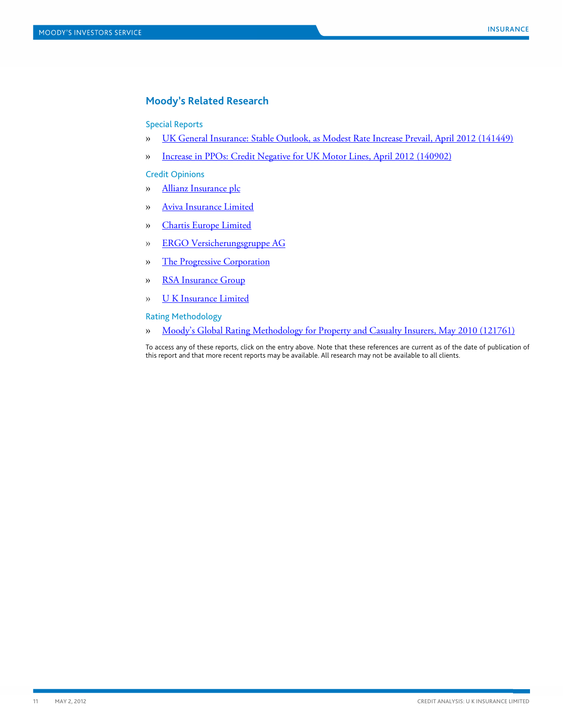## <span id="page-10-0"></span>**Moody's Related Research**

#### Special Reports

- » [UK General Insurance: Stable Outlook, as Modest Rate Increase Prevail, April 2012 \(141449\)](http://www.moodys.com/viewresearchdoc.aspx?docid=PBC_141449)
- » [Increase in PPOs: Credit Negative for UK Motor Lines, April 2012 \(140902\)](http://www.moodys.com/viewresearchdoc.aspx?docid=PBC_140902)

#### Credit Opinions

- » [Allianz Insurance plc](http://www.moodys.com/viewresearchdoc.aspx?docid=COP_600067674)
- » [Aviva Insurance Limited](http://www.moodys.com/viewresearchdoc.aspx?docid=COP_715800)
- » [Chartis Europe Limited](http://www.moodys.com/viewresearchdoc.aspx?docid=COP_820677116)
- » [ERGO Versicherungsgruppe AG](http://www.moodys.com/viewresearchdoc.aspx?docid=COP_600049225)
- » [The Progressive Corporation](http://www.moodys.com/viewresearchdoc.aspx?docid=COP_621600)
- » [RSA Insurance Group](http://www.moodys.com/viewresearchdoc.aspx?docid=COP_652025)
- » [U K Insurance Limited](http://www.moodys.com/viewresearchdoc.aspx?docid=COP_809117185)

Rating Methodology

» [Moody's Global Rating Methodology for Property and Casualty Insurers, May 2010 \(121761\)](http://www.moodys.com/viewresearchdoc.aspx?docid=PBC_121761)

To access any of these reports, click on the entry above. Note that these references are current as of the date of publication of this report and that more recent reports may be available. All research may not be available to all clients.